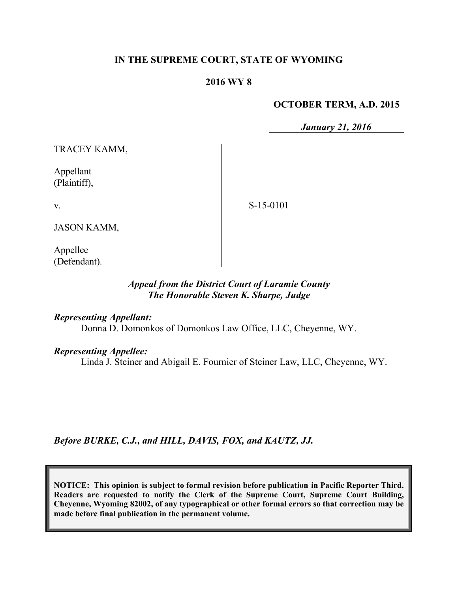## **IN THE SUPREME COURT, STATE OF WYOMING**

#### **2016 WY 8**

#### **OCTOBER TERM, A.D. 2015**

*January 21, 2016*

TRACEY KAMM,

Appellant (Plaintiff),

v.

S-15-0101

JASON KAMM,

Appellee (Defendant).

## *Appeal from the District Court of Laramie County The Honorable Steven K. Sharpe, Judge*

*Representing Appellant:*

Donna D. Domonkos of Domonkos Law Office, LLC, Cheyenne, WY.

*Representing Appellee:*

Linda J. Steiner and Abigail E. Fournier of Steiner Law, LLC, Cheyenne, WY.

*Before BURKE, C.J., and HILL, DAVIS, FOX, and KAUTZ, JJ.*

**NOTICE: This opinion is subject to formal revision before publication in Pacific Reporter Third. Readers are requested to notify the Clerk of the Supreme Court, Supreme Court Building, Cheyenne, Wyoming 82002, of any typographical or other formal errors so that correction may be made before final publication in the permanent volume.**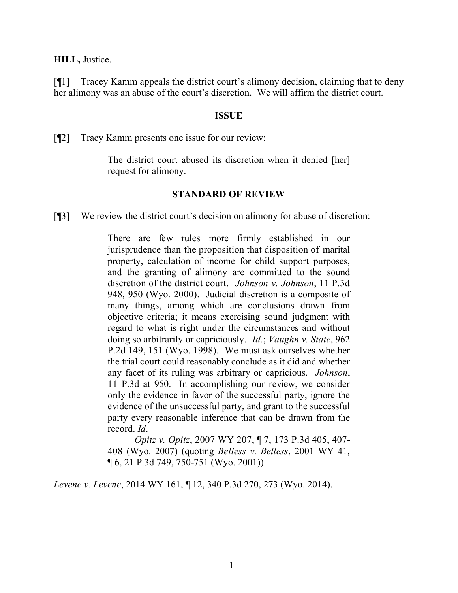**HILL,** Justice.

[¶1] Tracey Kamm appeals the district court's alimony decision, claiming that to deny her alimony was an abuse of the court's discretion. We will affirm the district court.

#### **ISSUE**

[¶2] Tracy Kamm presents one issue for our review:

The district court abused its discretion when it denied [her] request for alimony.

## **STANDARD OF REVIEW**

[¶3] We review the district court's decision on alimony for abuse of discretion:

There are few rules more firmly established in our jurisprudence than the proposition that disposition of marital property, calculation of income for child support purposes, and the granting of alimony are committed to the sound discretion of the district court. *Johnson v. Johnson*, 11 P.3d 948, 950 (Wyo. 2000). Judicial discretion is a composite of many things, among which are conclusions drawn from objective criteria; it means exercising sound judgment with regard to what is right under the circumstances and without doing so arbitrarily or capriciously. *Id*.; *Vaughn v. State*, 962 P.2d 149, 151 (Wyo. 1998). We must ask ourselves whether the trial court could reasonably conclude as it did and whether any facet of its ruling was arbitrary or capricious. *Johnson*, 11 P.3d at 950. In accomplishing our review, we consider only the evidence in favor of the successful party, ignore the evidence of the unsuccessful party, and grant to the successful party every reasonable inference that can be drawn from the record. *Id*.

*Opitz v. Opitz*, 2007 WY 207, ¶ 7, 173 P.3d 405, 407- 408 (Wyo. 2007) (quoting *Belless v. Belless*, 2001 WY 41, ¶ 6, 21 P.3d 749, 750-751 (Wyo. 2001)).

*Levene v. Levene*, 2014 WY 161, ¶ 12, 340 P.3d 270, 273 (Wyo. 2014).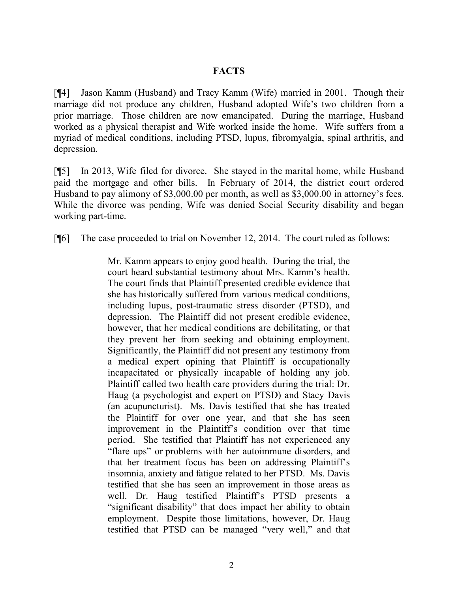## **FACTS**

[¶4] Jason Kamm (Husband) and Tracy Kamm (Wife) married in 2001. Though their marriage did not produce any children, Husband adopted Wife's two children from a prior marriage. Those children are now emancipated. During the marriage, Husband worked as a physical therapist and Wife worked inside the home. Wife suffers from a myriad of medical conditions, including PTSD, lupus, fibromyalgia, spinal arthritis, and depression.

[¶5] In 2013, Wife filed for divorce. She stayed in the marital home, while Husband paid the mortgage and other bills. In February of 2014, the district court ordered Husband to pay alimony of \$3,000.00 per month, as well as \$3,000.00 in attorney's fees. While the divorce was pending, Wife was denied Social Security disability and began working part-time.

[¶6] The case proceeded to trial on November 12, 2014. The court ruled as follows:

Mr. Kamm appears to enjoy good health. During the trial, the court heard substantial testimony about Mrs. Kamm's health. The court finds that Plaintiff presented credible evidence that she has historically suffered from various medical conditions, including lupus, post-traumatic stress disorder (PTSD), and depression. The Plaintiff did not present credible evidence, however, that her medical conditions are debilitating, or that they prevent her from seeking and obtaining employment. Significantly, the Plaintiff did not present any testimony from a medical expert opining that Plaintiff is occupationally incapacitated or physically incapable of holding any job. Plaintiff called two health care providers during the trial: Dr. Haug (a psychologist and expert on PTSD) and Stacy Davis (an acupuncturist). Ms. Davis testified that she has treated the Plaintiff for over one year, and that she has seen improvement in the Plaintiff's condition over that time period. She testified that Plaintiff has not experienced any "flare ups" or problems with her autoimmune disorders, and that her treatment focus has been on addressing Plaintiff's insomnia, anxiety and fatigue related to her PTSD. Ms. Davis testified that she has seen an improvement in those areas as well. Dr. Haug testified Plaintiff's PTSD presents a "significant disability" that does impact her ability to obtain employment. Despite those limitations, however, Dr. Haug testified that PTSD can be managed "very well," and that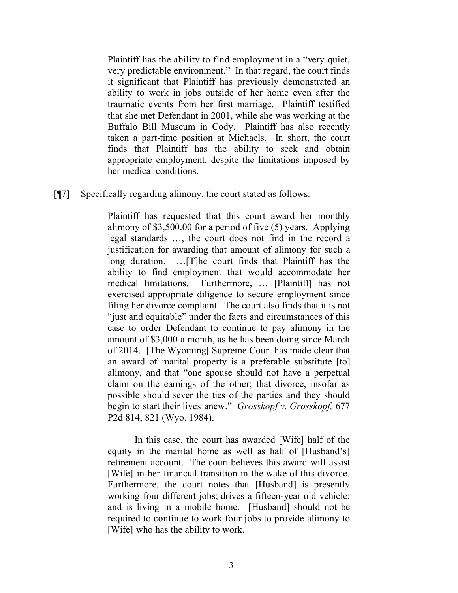Plaintiff has the ability to find employment in a "very quiet, very predictable environment." In that regard, the court finds it significant that Plaintiff has previously demonstrated an ability to work in jobs outside of her home even after the traumatic events from her first marriage. Plaintiff testified that she met Defendant in 2001, while she was working at the Buffalo Bill Museum in Cody. Plaintiff has also recently taken a part-time position at Michaels. In short, the court finds that Plaintiff has the ability to seek and obtain appropriate employment, despite the limitations imposed by her medical conditions.

[¶7] Specifically regarding alimony, the court stated as follows:

Plaintiff has requested that this court award her monthly alimony of \$3,500.00 for a period of five (5) years. Applying legal standards …, the court does not find in the record a justification for awarding that amount of alimony for such a long duration. …[T]he court finds that Plaintiff has the ability to find employment that would accommodate her medical limitations. Furthermore, … [Plaintiff] has not exercised appropriate diligence to secure employment since filing her divorce complaint. The court also finds that it is not "just and equitable" under the facts and circumstances of this case to order Defendant to continue to pay alimony in the amount of \$3,000 a month, as he has been doing since March of 2014. [The Wyoming] Supreme Court has made clear that an award of marital property is a preferable substitute [to] alimony, and that "one spouse should not have a perpetual claim on the earnings of the other; that divorce, insofar as possible should sever the ties of the parties and they should begin to start their lives anew." *Grosskopf v. Grosskopf,* 677 P2d 814, 821 (Wyo. 1984).

In this case, the court has awarded [Wife] half of the equity in the marital home as well as half of [Husband's] retirement account. The court believes this award will assist [Wife] in her financial transition in the wake of this divorce. Furthermore, the court notes that [Husband] is presently working four different jobs; drives a fifteen-year old vehicle; and is living in a mobile home. [Husband] should not be required to continue to work four jobs to provide alimony to [Wife] who has the ability to work.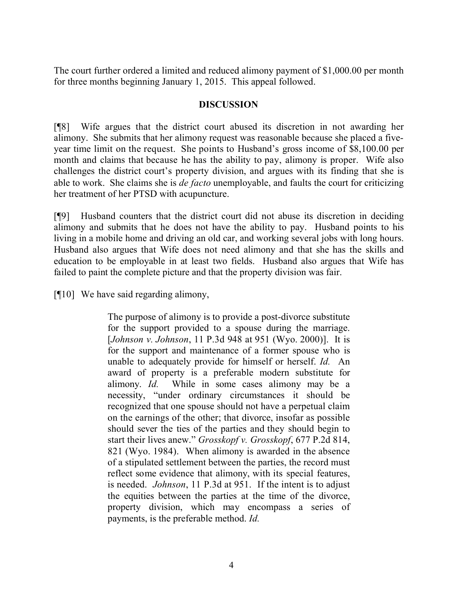The court further ordered a limited and reduced alimony payment of \$1,000.00 per month for three months beginning January 1, 2015. This appeal followed.

## **DISCUSSION**

[¶8] Wife argues that the district court abused its discretion in not awarding her alimony. She submits that her alimony request was reasonable because she placed a fiveyear time limit on the request. She points to Husband's gross income of \$8,100.00 per month and claims that because he has the ability to pay, alimony is proper. Wife also challenges the district court's property division, and argues with its finding that she is able to work. She claims she is *de facto* unemployable, and faults the court for criticizing her treatment of her PTSD with acupuncture.

[¶9] Husband counters that the district court did not abuse its discretion in deciding alimony and submits that he does not have the ability to pay. Husband points to his living in a mobile home and driving an old car, and working several jobs with long hours. Husband also argues that Wife does not need alimony and that she has the skills and education to be employable in at least two fields. Husband also argues that Wife has failed to paint the complete picture and that the property division was fair.

[¶10] We have said regarding alimony,

The purpose of alimony is to provide a post-divorce substitute for the support provided to a spouse during the marriage. [*Johnson v. Johnson*, 11 P.3d 948 at 951 (Wyo. 2000)]. It is for the support and maintenance of a former spouse who is unable to adequately provide for himself or herself. *Id.* An award of property is a preferable modern substitute for alimony. *Id.* While in some cases alimony may be a necessity, "under ordinary circumstances it should be recognized that one spouse should not have a perpetual claim on the earnings of the other; that divorce, insofar as possible should sever the ties of the parties and they should begin to start their lives anew." *Grosskopf v. Grosskopf*, 677 P.2d 814, 821 (Wyo. 1984). When alimony is awarded in the absence of a stipulated settlement between the parties, the record must reflect some evidence that alimony, with its special features, is needed. *Johnson*, 11 P.3d at 951. If the intent is to adjust the equities between the parties at the time of the divorce, property division, which may encompass a series of payments, is the preferable method. *Id.*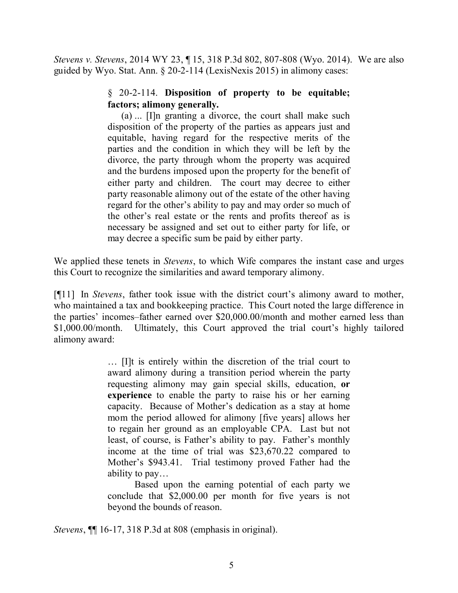*Stevens v. Stevens*, 2014 WY 23, ¶ 15, 318 P.3d 802, 807-808 (Wyo. 2014). We are also guided by Wyo. Stat. Ann. § 20-2-114 (LexisNexis 2015) in alimony cases:

# § 20-2-114. **Disposition of property to be equitable; factors; alimony generally.**

(a) ... [I]n granting a divorce, the court shall make such disposition of the property of the parties as appears just and equitable, having regard for the respective merits of the parties and the condition in which they will be left by the divorce, the party through whom the property was acquired and the burdens imposed upon the property for the benefit of either party and children. The court may decree to either party reasonable alimony out of the estate of the other having regard for the other's ability to pay and may order so much of the other's real estate or the rents and profits thereof as is necessary be assigned and set out to either party for life, or may decree a specific sum be paid by either party.

We applied these tenets in *Stevens*, to which Wife compares the instant case and urges this Court to recognize the similarities and award temporary alimony.

[¶11] In *Stevens*, father took issue with the district court's alimony award to mother, who maintained a tax and bookkeeping practice. This Court noted the large difference in the parties' incomes–father earned over \$20,000.00/month and mother earned less than \$1,000.00/month. Ultimately, this Court approved the trial court's highly tailored alimony award:

> … [I]t is entirely within the discretion of the trial court to award alimony during a transition period wherein the party requesting alimony may gain special skills, education, **or experience** to enable the party to raise his or her earning capacity. Because of Mother's dedication as a stay at home mom the period allowed for alimony [five years] allows her to regain her ground as an employable CPA. Last but not least, of course, is Father's ability to pay. Father's monthly income at the time of trial was \$23,670.22 compared to Mother's \$943.41. Trial testimony proved Father had the ability to pay…

> Based upon the earning potential of each party we conclude that \$2,000.00 per month for five years is not beyond the bounds of reason.

*Stevens*, ¶¶ 16-17, 318 P.3d at 808 (emphasis in original).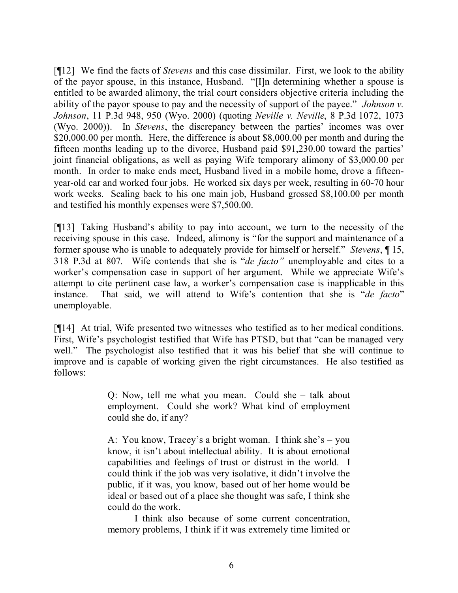[¶12] We find the facts of *Stevens* and this case dissimilar. First, we look to the ability of the payor spouse, in this instance, Husband. "[I]n determining whether a spouse is entitled to be awarded alimony, the trial court considers objective criteria including the ability of the payor spouse to pay and the necessity of support of the payee." *Johnson v. Johnson*, 11 P.3d 948, 950 (Wyo. 2000) (quoting *Neville v. Neville*, 8 P.3d 1072, 1073 (Wyo. 2000)). In *Stevens*, the discrepancy between the parties' incomes was over \$20,000.00 per month. Here, the difference is about \$8,000.00 per month and during the fifteen months leading up to the divorce, Husband paid \$91,230.00 toward the parties' joint financial obligations, as well as paying Wife temporary alimony of \$3,000.00 per month. In order to make ends meet, Husband lived in a mobile home, drove a fifteenyear-old car and worked four jobs. He worked six days per week, resulting in 60-70 hour work weeks. Scaling back to his one main job, Husband grossed \$8,100.00 per month and testified his monthly expenses were \$7,500.00.

[¶13] Taking Husband's ability to pay into account, we turn to the necessity of the receiving spouse in this case. Indeed, alimony is "for the support and maintenance of a former spouse who is unable to adequately provide for himself or herself." *Stevens*, ¶ 15, 318 P.3d at 807*.* Wife contends that she is "*de facto"* unemployable and cites to a worker's compensation case in support of her argument. While we appreciate Wife's attempt to cite pertinent case law, a worker's compensation case is inapplicable in this instance. That said, we will attend to Wife's contention that she is "*de facto*" unemployable.

[¶14] At trial, Wife presented two witnesses who testified as to her medical conditions. First, Wife's psychologist testified that Wife has PTSD, but that "can be managed very well." The psychologist also testified that it was his belief that she will continue to improve and is capable of working given the right circumstances. He also testified as follows:

> Q: Now, tell me what you mean. Could she – talk about employment. Could she work? What kind of employment could she do, if any?

> A: You know, Tracey's a bright woman. I think she's – you know, it isn't about intellectual ability. It is about emotional capabilities and feelings of trust or distrust in the world. I could think if the job was very isolative, it didn't involve the public, if it was, you know, based out of her home would be ideal or based out of a place she thought was safe, I think she could do the work.

> I think also because of some current concentration, memory problems, I think if it was extremely time limited or